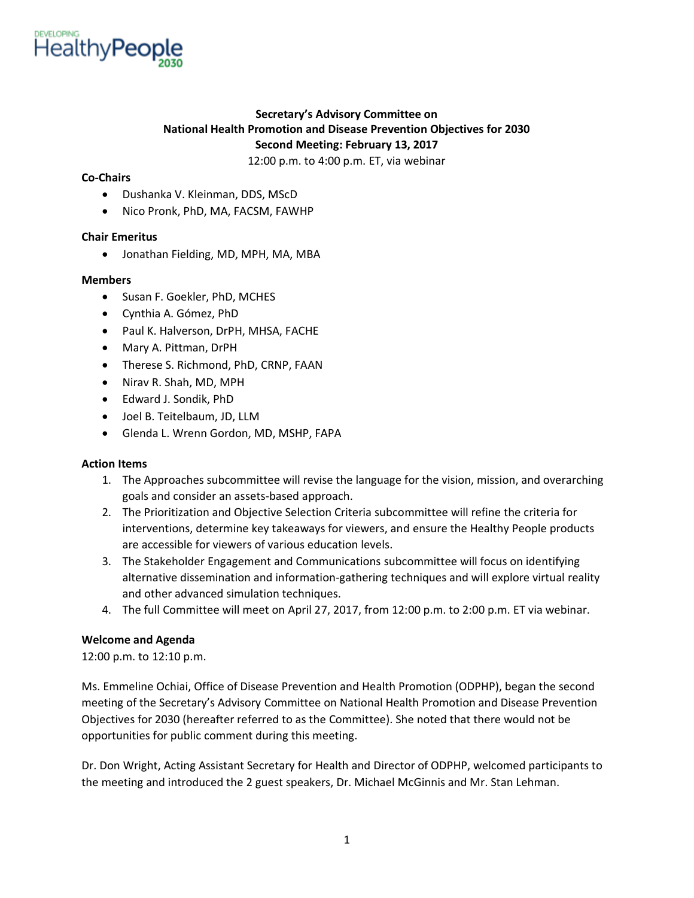

# **Secretary's Advisory Committee on National Health Promotion and Disease Prevention Objectives for 2030 Second Meeting: February 13, 2017**

12:00 p.m. to 4:00 p.m. ET, via webinar

# **Co-Chairs**

- Dushanka V. Kleinman, DDS, MScD
- Nico Pronk, PhD, MA, FACSM, FAWHP

# **Chair Emeritus**

• Jonathan Fielding, MD, MPH, MA, MBA

# **Members**

- Susan F. Goekler, PhD, MCHES
- Cynthia A. Gómez, PhD
- Paul K. Halverson, DrPH, MHSA, FACHE
- Mary A. Pittman, DrPH
- Therese S. Richmond, PhD, CRNP, FAAN
- Nirav R. Shah, MD, MPH
- Edward J. Sondik, PhD
- Joel B. Teitelbaum, JD, LLM
- Glenda L. Wrenn Gordon, MD, MSHP, FAPA

# **Action Items**

- 1. The Approaches subcommittee will revise the language for the vision, mission, and overarching goals and consider an assets-based approach.
- 2. The Prioritization and Objective Selection Criteria subcommittee will refine the criteria for interventions, determine key takeaways for viewers, and ensure the Healthy People products are accessible for viewers of various education levels.
- 3. The Stakeholder Engagement and Communications subcommittee will focus on identifying alternative dissemination and information-gathering techniques and will explore virtual reality and other advanced simulation techniques.
- 4. The full Committee will meet on April 27, 2017, from 12:00 p.m. to 2:00 p.m. ET via webinar.

# **Welcome and Agenda**

12:00 p.m. to 12:10 p.m.

Ms. Emmeline Ochiai, Office of Disease Prevention and Health Promotion (ODPHP), began the second meeting of the Secretary's Advisory Committee on National Health Promotion and Disease Prevention Objectives for 2030 (hereafter referred to as the Committee). She noted that there would not be opportunities for public comment during this meeting.

Dr. Don Wright, Acting Assistant Secretary for Health and Director of ODPHP, welcomed participants to the meeting and introduced the 2 guest speakers, Dr. Michael McGinnis and Mr. Stan Lehman.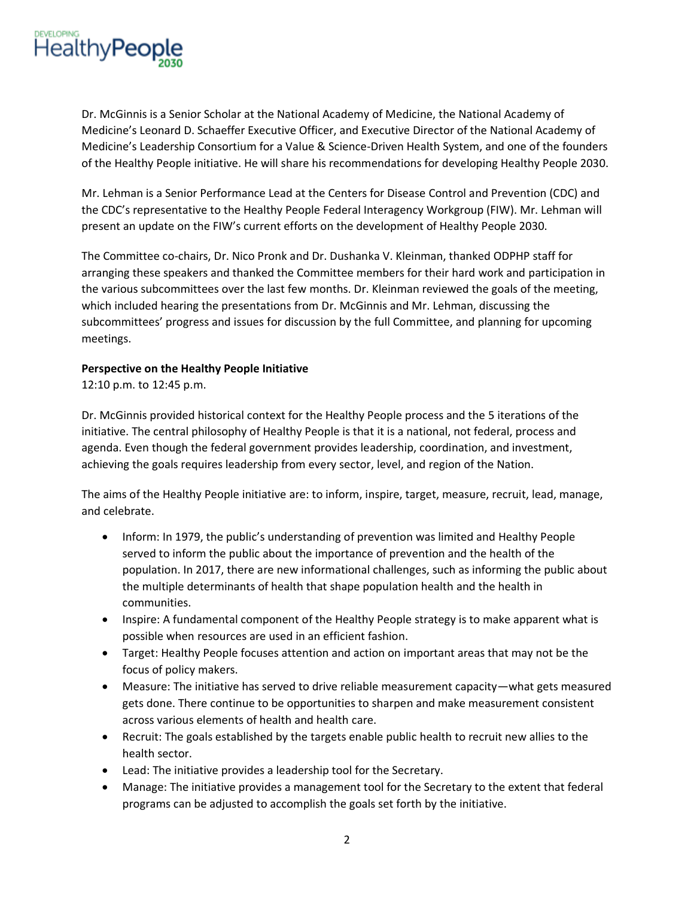

Dr. McGinnis is a Senior Scholar at the National Academy of Medicine, the National Academy of Medicine's Leonard D. Schaeffer Executive Officer, and Executive Director of the National Academy of Medicine's Leadership Consortium for a Value & Science-Driven Health System, and one of the founders of the Healthy People initiative. He will share his recommendations for developing Healthy People 2030.

Mr. Lehman is a Senior Performance Lead at the Centers for Disease Control and Prevention (CDC) and the CDC's representative to the Healthy People Federal Interagency Workgroup (FIW). Mr. Lehman will present an update on the FIW's current efforts on the development of Healthy People 2030.

The Committee co-chairs, Dr. Nico Pronk and Dr. Dushanka V. Kleinman, thanked ODPHP staff for arranging these speakers and thanked the Committee members for their hard work and participation in the various subcommittees over the last few months. Dr. Kleinman reviewed the goals of the meeting, which included hearing the presentations from Dr. McGinnis and Mr. Lehman, discussing the subcommittees' progress and issues for discussion by the full Committee, and planning for upcoming meetings.

#### **Perspective on the Healthy People Initiative**

12:10 p.m. to 12:45 p.m.

Dr. McGinnis provided historical context for the Healthy People process and the 5 iterations of the initiative. The central philosophy of Healthy People is that it is a national, not federal, process and agenda. Even though the federal government provides leadership, coordination, and investment, achieving the goals requires leadership from every sector, level, and region of the Nation.

The aims of the Healthy People initiative are: to inform, inspire, target, measure, recruit, lead, manage, and celebrate.

- Inform: In 1979, the public's understanding of prevention was limited and Healthy People served to inform the public about the importance of prevention and the health of the population. In 2017, there are new informational challenges, such as informing the public about the multiple determinants of health that shape population health and the health in communities.
- Inspire: A fundamental component of the Healthy People strategy is to make apparent what is possible when resources are used in an efficient fashion.
- Target: Healthy People focuses attention and action on important areas that may not be the focus of policy makers.
- Measure: The initiative has served to drive reliable measurement capacity—what gets measured gets done. There continue to be opportunities to sharpen and make measurement consistent across various elements of health and health care.
- Recruit: The goals established by the targets enable public health to recruit new allies to the health sector.
- Lead: The initiative provides a leadership tool for the Secretary.
- Manage: The initiative provides a management tool for the Secretary to the extent that federal programs can be adjusted to accomplish the goals set forth by the initiative.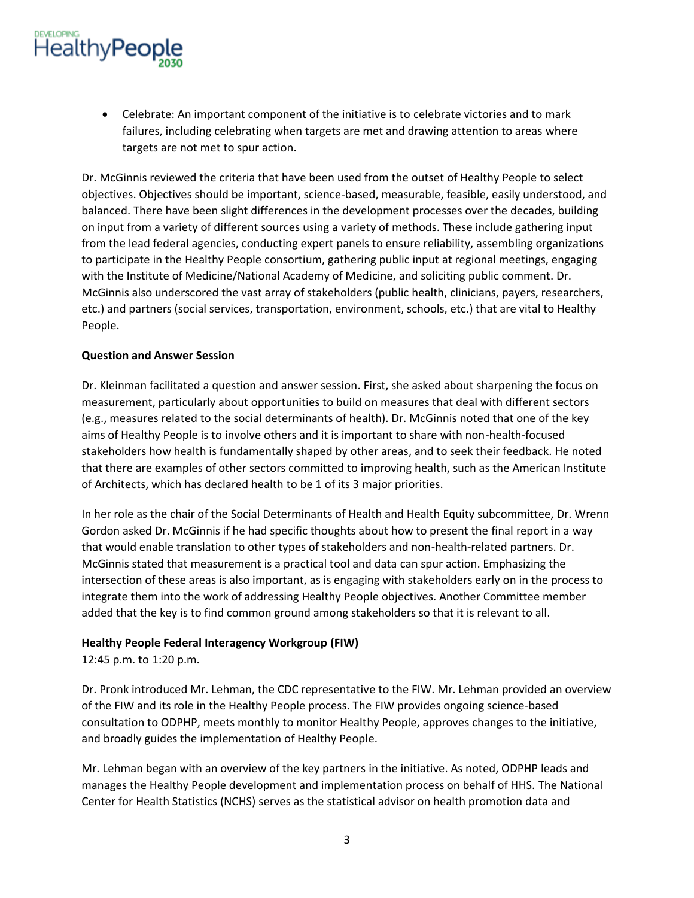# **HealthyPeople**

• Celebrate: An important component of the initiative is to celebrate victories and to mark failures, including celebrating when targets are met and drawing attention to areas where targets are not met to spur action.

Dr. McGinnis reviewed the criteria that have been used from the outset of Healthy People to select objectives. Objectives should be important, science-based, measurable, feasible, easily understood, and balanced. There have been slight differences in the development processes over the decades, building on input from a variety of different sources using a variety of methods. These include gathering input from the lead federal agencies, conducting expert panels to ensure reliability, assembling organizations to participate in the Healthy People consortium, gathering public input at regional meetings, engaging with the Institute of Medicine/National Academy of Medicine, and soliciting public comment. Dr. McGinnis also underscored the vast array of stakeholders (public health, clinicians, payers, researchers, etc.) and partners (social services, transportation, environment, schools, etc.) that are vital to Healthy People.

# **Question and Answer Session**

Dr. Kleinman facilitated a question and answer session. First, she asked about sharpening the focus on measurement, particularly about opportunities to build on measures that deal with different sectors (e.g., measures related to the social determinants of health). Dr. McGinnis noted that one of the key aims of Healthy People is to involve others and it is important to share with non-health-focused stakeholders how health is fundamentally shaped by other areas, and to seek their feedback. He noted that there are examples of other sectors committed to improving health, such as the American Institute of Architects, which has declared health to be 1 of its 3 major priorities.

In her role as the chair of the Social Determinants of Health and Health Equity subcommittee, Dr. Wrenn Gordon asked Dr. McGinnis if he had specific thoughts about how to present the final report in a way that would enable translation to other types of stakeholders and non-health-related partners. Dr. McGinnis stated that measurement is a practical tool and data can spur action. Emphasizing the intersection of these areas is also important, as is engaging with stakeholders early on in the process to integrate them into the work of addressing Healthy People objectives. Another Committee member added that the key is to find common ground among stakeholders so that it is relevant to all.

# **Healthy People Federal Interagency Workgroup (FIW)**

12:45 p.m. to 1:20 p.m.

Dr. Pronk introduced Mr. Lehman, the CDC representative to the FIW. Mr. Lehman provided an overview of the FIW and its role in the Healthy People process. The FIW provides ongoing science-based consultation to ODPHP, meets monthly to monitor Healthy People, approves changes to the initiative, and broadly guides the implementation of Healthy People.

Mr. Lehman began with an overview of the key partners in the initiative. As noted, ODPHP leads and manages the Healthy People development and implementation process on behalf of HHS. The National Center for Health Statistics (NCHS) serves as the statistical advisor on health promotion data and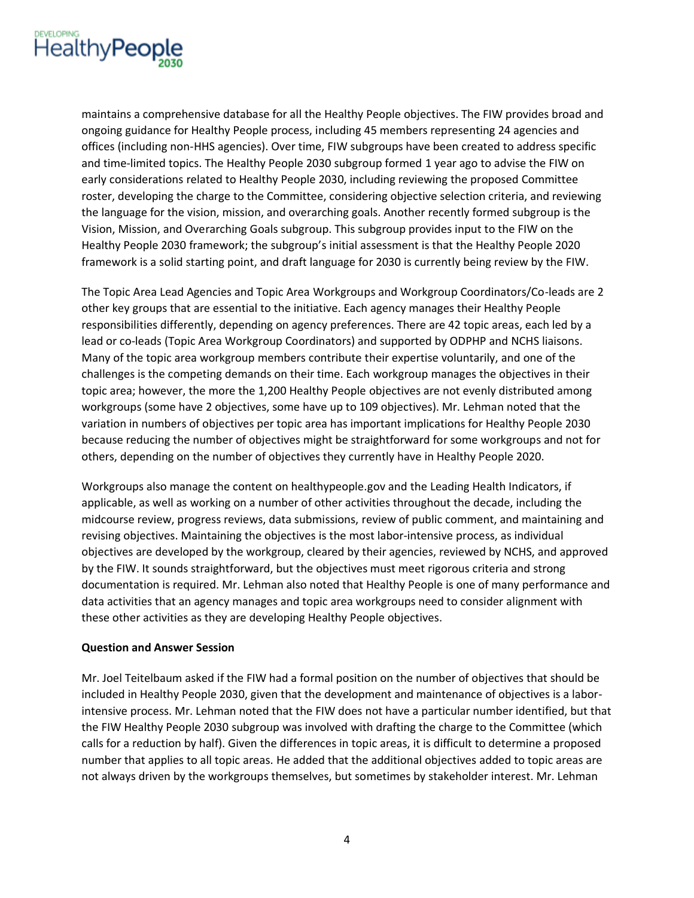

maintains a comprehensive database for all the Healthy People objectives. The FIW provides broad and ongoing guidance for Healthy People process, including 45 members representing 24 agencies and offices (including non-HHS agencies). Over time, FIW subgroups have been created to address specific and time-limited topics. The Healthy People 2030 subgroup formed 1 year ago to advise the FIW on early considerations related to Healthy People 2030, including reviewing the proposed Committee roster, developing the charge to the Committee, considering objective selection criteria, and reviewing the language for the vision, mission, and overarching goals. Another recently formed subgroup is the Vision, Mission, and Overarching Goals subgroup. This subgroup provides input to the FIW on the Healthy People 2030 framework; the subgroup's initial assessment is that the Healthy People 2020 framework is a solid starting point, and draft language for 2030 is currently being review by the FIW.

The Topic Area Lead Agencies and Topic Area Workgroups and Workgroup Coordinators/Co-leads are 2 other key groups that are essential to the initiative. Each agency manages their Healthy People responsibilities differently, depending on agency preferences. There are 42 topic areas, each led by a lead or co-leads (Topic Area Workgroup Coordinators) and supported by ODPHP and NCHS liaisons. Many of the topic area workgroup members contribute their expertise voluntarily, and one of the challenges is the competing demands on their time. Each workgroup manages the objectives in their topic area; however, the more the 1,200 Healthy People objectives are not evenly distributed among workgroups (some have 2 objectives, some have up to 109 objectives). Mr. Lehman noted that the variation in numbers of objectives per topic area has important implications for Healthy People 2030 because reducing the number of objectives might be straightforward for some workgroups and not for others, depending on the number of objectives they currently have in Healthy People 2020.

Workgroups also manage the content on healthypeople.gov and the Leading Health Indicators, if applicable, as well as working on a number of other activities throughout the decade, including the midcourse review, progress reviews, data submissions, review of public comment, and maintaining and revising objectives. Maintaining the objectives is the most labor-intensive process, as individual objectives are developed by the workgroup, cleared by their agencies, reviewed by NCHS, and approved by the FIW. It sounds straightforward, but the objectives must meet rigorous criteria and strong documentation is required. Mr. Lehman also noted that Healthy People is one of many performance and data activities that an agency manages and topic area workgroups need to consider alignment with these other activities as they are developing Healthy People objectives.

#### **Question and Answer Session**

Mr. Joel Teitelbaum asked if the FIW had a formal position on the number of objectives that should be included in Healthy People 2030, given that the development and maintenance of objectives is a laborintensive process. Mr. Lehman noted that the FIW does not have a particular number identified, but that the FIW Healthy People 2030 subgroup was involved with drafting the charge to the Committee (which calls for a reduction by half). Given the differences in topic areas, it is difficult to determine a proposed number that applies to all topic areas. He added that the additional objectives added to topic areas are not always driven by the workgroups themselves, but sometimes by stakeholder interest. Mr. Lehman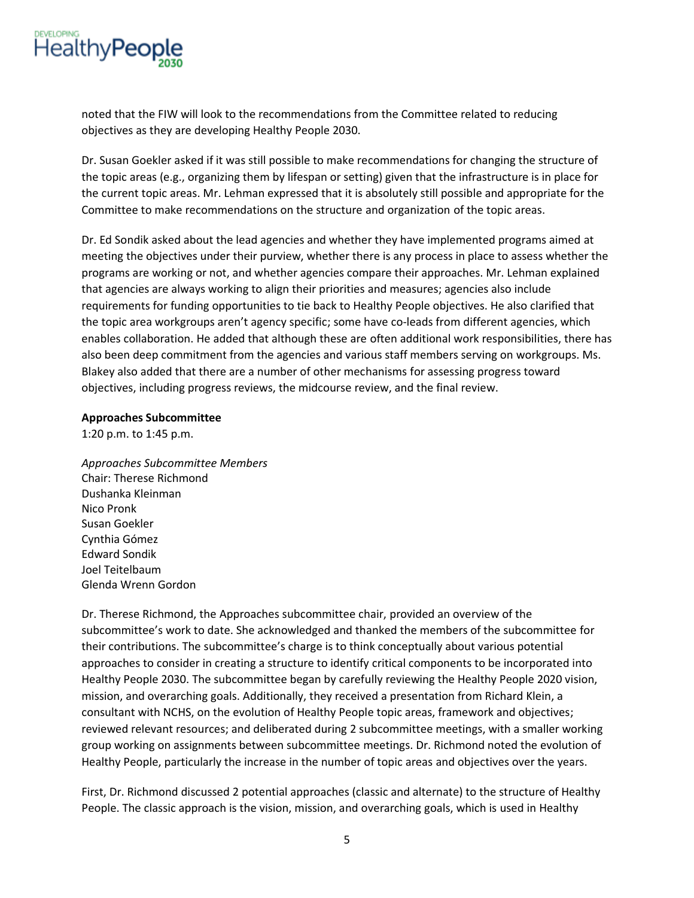

noted that the FIW will look to the recommendations from the Committee related to reducing objectives as they are developing Healthy People 2030.

Dr. Susan Goekler asked if it was still possible to make recommendations for changing the structure of the topic areas (e.g., organizing them by lifespan or setting) given that the infrastructure is in place for the current topic areas. Mr. Lehman expressed that it is absolutely still possible and appropriate for the Committee to make recommendations on the structure and organization of the topic areas.

Dr. Ed Sondik asked about the lead agencies and whether they have implemented programs aimed at meeting the objectives under their purview, whether there is any process in place to assess whether the programs are working or not, and whether agencies compare their approaches. Mr. Lehman explained that agencies are always working to align their priorities and measures; agencies also include requirements for funding opportunities to tie back to Healthy People objectives. He also clarified that the topic area workgroups aren't agency specific; some have co-leads from different agencies, which enables collaboration. He added that although these are often additional work responsibilities, there has also been deep commitment from the agencies and various staff members serving on workgroups. Ms. Blakey also added that there are a number of other mechanisms for assessing progress toward objectives, including progress reviews, the midcourse review, and the final review.

#### **Approaches Subcommittee**

1:20 p.m. to 1:45 p.m.

*Approaches Subcommittee Members* Chair: Therese Richmond Dushanka Kleinman Nico Pronk Susan Goekler Cynthia Gómez Edward Sondik Joel Teitelbaum Glenda Wrenn Gordon

Dr. Therese Richmond, the Approaches subcommittee chair, provided an overview of the subcommittee's work to date. She acknowledged and thanked the members of the subcommittee for their contributions. The subcommittee's charge is to think conceptually about various potential approaches to consider in creating a structure to identify critical components to be incorporated into Healthy People 2030. The subcommittee began by carefully reviewing the Healthy People 2020 vision, mission, and overarching goals. Additionally, they received a presentation from Richard Klein, a consultant with NCHS, on the evolution of Healthy People topic areas, framework and objectives; reviewed relevant resources; and deliberated during 2 subcommittee meetings, with a smaller working group working on assignments between subcommittee meetings. Dr. Richmond noted the evolution of Healthy People, particularly the increase in the number of topic areas and objectives over the years.

First, Dr. Richmond discussed 2 potential approaches (classic and alternate) to the structure of Healthy People. The classic approach is the vision, mission, and overarching goals, which is used in Healthy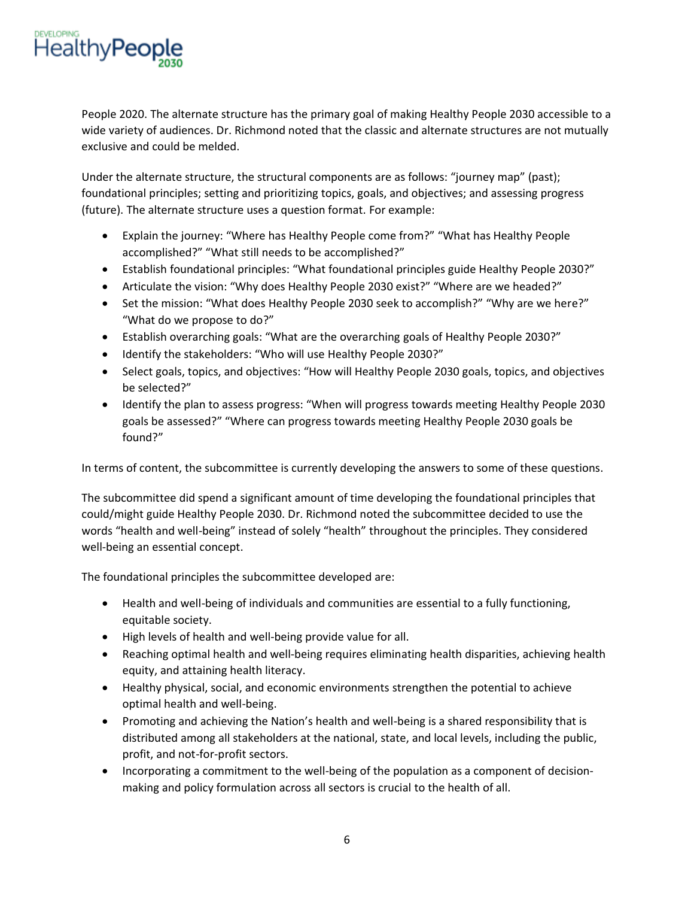

People 2020. The alternate structure has the primary goal of making Healthy People 2030 accessible to a wide variety of audiences. Dr. Richmond noted that the classic and alternate structures are not mutually exclusive and could be melded.

Under the alternate structure, the structural components are as follows: "journey map" (past); foundational principles; setting and prioritizing topics, goals, and objectives; and assessing progress (future). The alternate structure uses a question format. For example:

- Explain the journey: "Where has Healthy People come from?" "What has Healthy People accomplished?" "What still needs to be accomplished?"
- Establish foundational principles: "What foundational principles guide Healthy People 2030?"
- Articulate the vision: "Why does Healthy People 2030 exist?" "Where are we headed?"
- Set the mission: "What does Healthy People 2030 seek to accomplish?" "Why are we here?" "What do we propose to do?"
- Establish overarching goals: "What are the overarching goals of Healthy People 2030?"
- Identify the stakeholders: "Who will use Healthy People 2030?"
- Select goals, topics, and objectives: "How will Healthy People 2030 goals, topics, and objectives be selected?"
- Identify the plan to assess progress: "When will progress towards meeting Healthy People 2030 goals be assessed?" "Where can progress towards meeting Healthy People 2030 goals be found?"

In terms of content, the subcommittee is currently developing the answers to some of these questions.

The subcommittee did spend a significant amount of time developing the foundational principles that could/might guide Healthy People 2030. Dr. Richmond noted the subcommittee decided to use the words "health and well-being" instead of solely "health" throughout the principles. They considered well-being an essential concept.

The foundational principles the subcommittee developed are:

- Health and well-being of individuals and communities are essential to a fully functioning, equitable society.
- High levels of health and well-being provide value for all.
- Reaching optimal health and well-being requires eliminating health disparities, achieving health equity, and attaining health literacy.
- Healthy physical, social, and economic environments strengthen the potential to achieve optimal health and well-being.
- Promoting and achieving the Nation's health and well-being is a shared responsibility that is distributed among all stakeholders at the national, state, and local levels, including the public, profit, and not-for-profit sectors.
- Incorporating a commitment to the well-being of the population as a component of decisionmaking and policy formulation across all sectors is crucial to the health of all.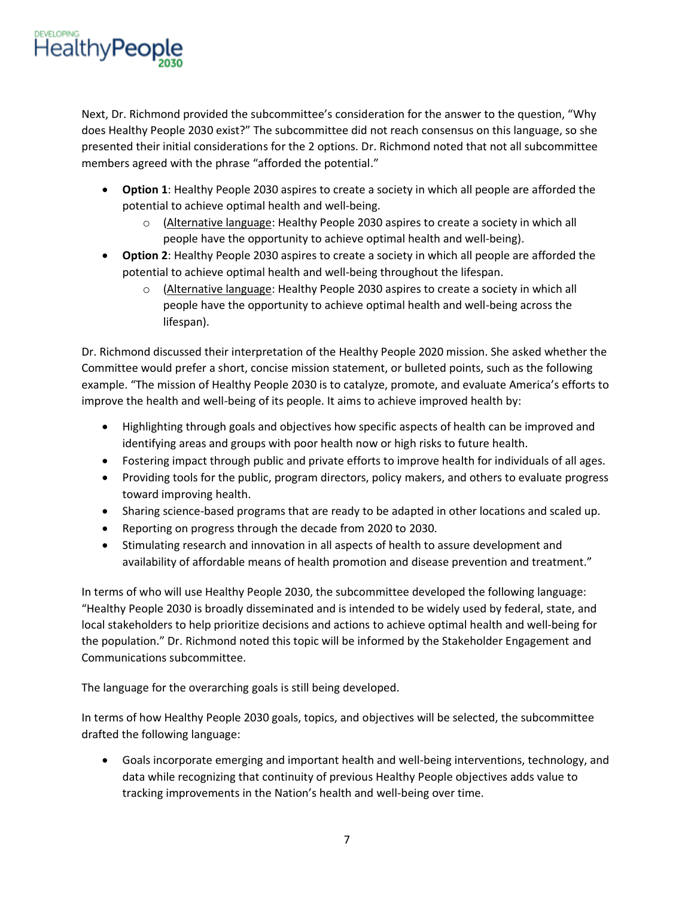

Next, Dr. Richmond provided the subcommittee's consideration for the answer to the question, "Why does Healthy People 2030 exist?" The subcommittee did not reach consensus on this language, so she presented their initial considerations for the 2 options. Dr. Richmond noted that not all subcommittee members agreed with the phrase "afforded the potential."

- **Option 1**: Healthy People 2030 aspires to create a society in which all people are afforded the potential to achieve optimal health and well-being.
	- o (Alternative language: Healthy People 2030 aspires to create a society in which all people have the opportunity to achieve optimal health and well-being).
- **Option 2**: Healthy People 2030 aspires to create a society in which all people are afforded the potential to achieve optimal health and well-being throughout the lifespan.
	- o (Alternative language: Healthy People 2030 aspires to create a society in which all people have the opportunity to achieve optimal health and well-being across the lifespan).

Dr. Richmond discussed their interpretation of the Healthy People 2020 mission. She asked whether the Committee would prefer a short, concise mission statement, or bulleted points, such as the following example. "The mission of Healthy People 2030 is to catalyze, promote, and evaluate America's efforts to improve the health and well-being of its people. It aims to achieve improved health by:

- Highlighting through goals and objectives how specific aspects of health can be improved and identifying areas and groups with poor health now or high risks to future health.
- Fostering impact through public and private efforts to improve health for individuals of all ages.
- Providing tools for the public, program directors, policy makers, and others to evaluate progress toward improving health.
- Sharing science-based programs that are ready to be adapted in other locations and scaled up.
- Reporting on progress through the decade from 2020 to 2030.
- Stimulating research and innovation in all aspects of health to assure development and availability of affordable means of health promotion and disease prevention and treatment."

In terms of who will use Healthy People 2030, the subcommittee developed the following language: "Healthy People 2030 is broadly disseminated and is intended to be widely used by federal, state, and local stakeholders to help prioritize decisions and actions to achieve optimal health and well-being for the population." Dr. Richmond noted this topic will be informed by the Stakeholder Engagement and Communications subcommittee.

The language for the overarching goals is still being developed.

In terms of how Healthy People 2030 goals, topics, and objectives will be selected, the subcommittee drafted the following language:

• Goals incorporate emerging and important health and well-being interventions, technology, and data while recognizing that continuity of previous Healthy People objectives adds value to tracking improvements in the Nation's health and well-being over time.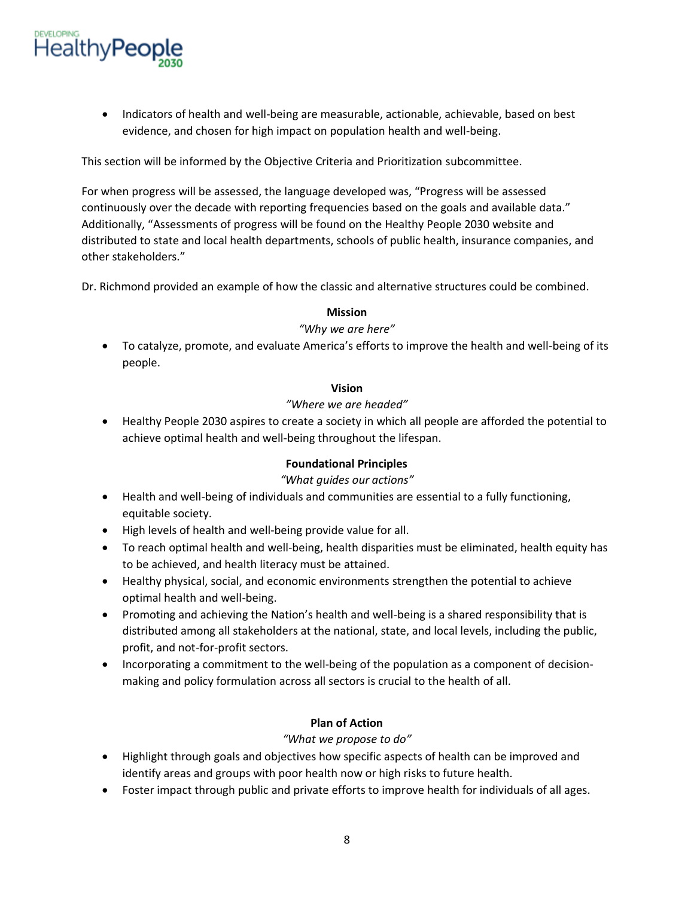

• Indicators of health and well-being are measurable, actionable, achievable, based on best evidence, and chosen for high impact on population health and well-being.

This section will be informed by the Objective Criteria and Prioritization subcommittee.

For when progress will be assessed, the language developed was, "Progress will be assessed continuously over the decade with reporting frequencies based on the goals and available data." Additionally, "Assessments of progress will be found on the Healthy People 2030 website and distributed to state and local health departments, schools of public health, insurance companies, and other stakeholders."

Dr. Richmond provided an example of how the classic and alternative structures could be combined.

# **Mission**

# *"Why we are here"*

• To catalyze, promote, and evaluate America's efforts to improve the health and well-being of its people.

#### **Vision**

#### *"Where we are headed"*

• Healthy People 2030 aspires to create a society in which all people are afforded the potential to achieve optimal health and well-being throughout the lifespan.

# **Foundational Principles**

# *"What guides our actions"*

- Health and well-being of individuals and communities are essential to a fully functioning, equitable society.
- High levels of health and well-being provide value for all.
- To reach optimal health and well-being, health disparities must be eliminated, health equity has to be achieved, and health literacy must be attained.
- Healthy physical, social, and economic environments strengthen the potential to achieve optimal health and well-being.
- Promoting and achieving the Nation's health and well-being is a shared responsibility that is distributed among all stakeholders at the national, state, and local levels, including the public, profit, and not-for-profit sectors.
- Incorporating a commitment to the well-being of the population as a component of decisionmaking and policy formulation across all sectors is crucial to the health of all.

# **Plan of Action**

# *"What we propose to do"*

- Highlight through goals and objectives how specific aspects of health can be improved and identify areas and groups with poor health now or high risks to future health.
- Foster impact through public and private efforts to improve health for individuals of all ages.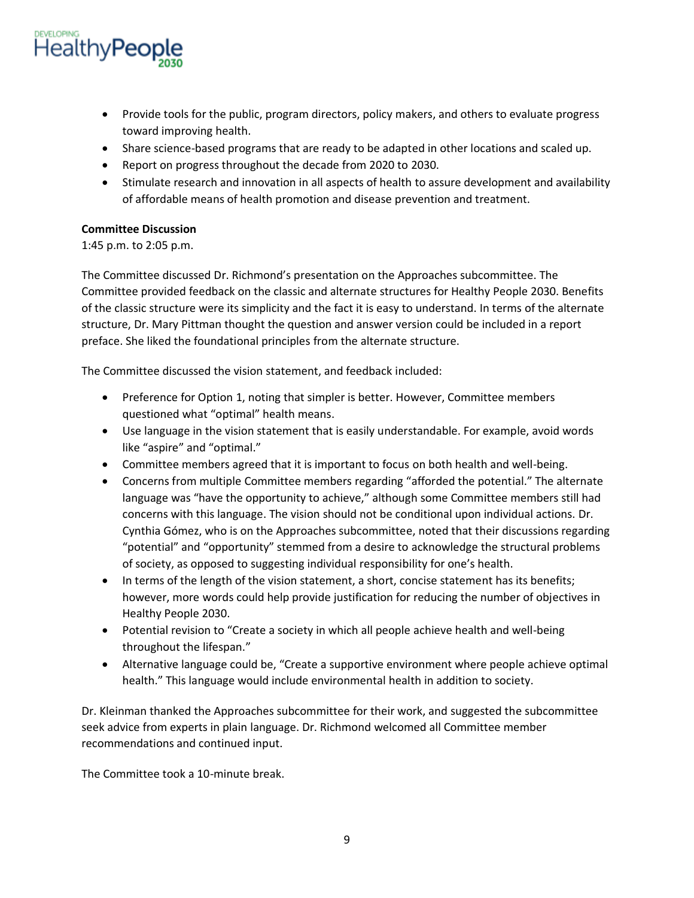

- Provide tools for the public, program directors, policy makers, and others to evaluate progress toward improving health.
- Share science-based programs that are ready to be adapted in other locations and scaled up.
- Report on progress throughout the decade from 2020 to 2030.
- Stimulate research and innovation in all aspects of health to assure development and availability of affordable means of health promotion and disease prevention and treatment.

# **Committee Discussion**

1:45 p.m. to 2:05 p.m.

The Committee discussed Dr. Richmond's presentation on the Approaches subcommittee. The Committee provided feedback on the classic and alternate structures for Healthy People 2030. Benefits of the classic structure were its simplicity and the fact it is easy to understand. In terms of the alternate structure, Dr. Mary Pittman thought the question and answer version could be included in a report preface. She liked the foundational principles from the alternate structure.

The Committee discussed the vision statement, and feedback included:

- Preference for Option 1, noting that simpler is better. However, Committee members questioned what "optimal" health means.
- Use language in the vision statement that is easily understandable. For example, avoid words like "aspire" and "optimal."
- Committee members agreed that it is important to focus on both health and well-being.
- Concerns from multiple Committee members regarding "afforded the potential." The alternate language was "have the opportunity to achieve," although some Committee members still had concerns with this language. The vision should not be conditional upon individual actions. Dr. Cynthia Gómez, who is on the Approaches subcommittee, noted that their discussions regarding "potential" and "opportunity" stemmed from a desire to acknowledge the structural problems of society, as opposed to suggesting individual responsibility for one's health.
- In terms of the length of the vision statement, a short, concise statement has its benefits; however, more words could help provide justification for reducing the number of objectives in Healthy People 2030.
- Potential revision to "Create a society in which all people achieve health and well-being throughout the lifespan."
- Alternative language could be, "Create a supportive environment where people achieve optimal health." This language would include environmental health in addition to society.

Dr. Kleinman thanked the Approaches subcommittee for their work, and suggested the subcommittee seek advice from experts in plain language. Dr. Richmond welcomed all Committee member recommendations and continued input.

The Committee took a 10-minute break.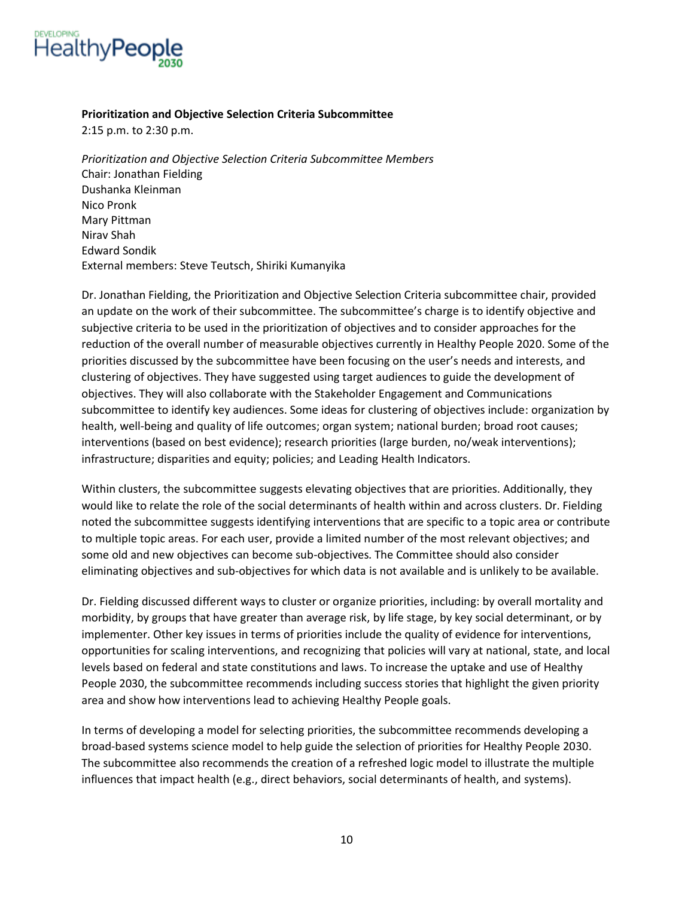

#### **Prioritization and Objective Selection Criteria Subcommittee**

2:15 p.m. to 2:30 p.m.

*Prioritization and Objective Selection Criteria Subcommittee Members* Chair: Jonathan Fielding Dushanka Kleinman Nico Pronk Mary Pittman Nirav Shah Edward Sondik External members: Steve Teutsch, Shiriki Kumanyika

Dr. Jonathan Fielding, the Prioritization and Objective Selection Criteria subcommittee chair, provided an update on the work of their subcommittee. The subcommittee's charge is to identify objective and subjective criteria to be used in the prioritization of objectives and to consider approaches for the reduction of the overall number of measurable objectives currently in Healthy People 2020. Some of the priorities discussed by the subcommittee have been focusing on the user's needs and interests, and clustering of objectives. They have suggested using target audiences to guide the development of objectives. They will also collaborate with the Stakeholder Engagement and Communications subcommittee to identify key audiences. Some ideas for clustering of objectives include: organization by health, well-being and quality of life outcomes; organ system; national burden; broad root causes; interventions (based on best evidence); research priorities (large burden, no/weak interventions); infrastructure; disparities and equity; policies; and Leading Health Indicators.

Within clusters, the subcommittee suggests elevating objectives that are priorities. Additionally, they would like to relate the role of the social determinants of health within and across clusters. Dr. Fielding noted the subcommittee suggests identifying interventions that are specific to a topic area or contribute to multiple topic areas. For each user, provide a limited number of the most relevant objectives; and some old and new objectives can become sub-objectives. The Committee should also consider eliminating objectives and sub-objectives for which data is not available and is unlikely to be available.

Dr. Fielding discussed different ways to cluster or organize priorities, including: by overall mortality and morbidity, by groups that have greater than average risk, by life stage, by key social determinant, or by implementer. Other key issues in terms of priorities include the quality of evidence for interventions, opportunities for scaling interventions, and recognizing that policies will vary at national, state, and local levels based on federal and state constitutions and laws. To increase the uptake and use of Healthy People 2030, the subcommittee recommends including success stories that highlight the given priority area and show how interventions lead to achieving Healthy People goals.

In terms of developing a model for selecting priorities, the subcommittee recommends developing a broad-based systems science model to help guide the selection of priorities for Healthy People 2030. The subcommittee also recommends the creation of a refreshed logic model to illustrate the multiple influences that impact health (e.g., direct behaviors, social determinants of health, and systems).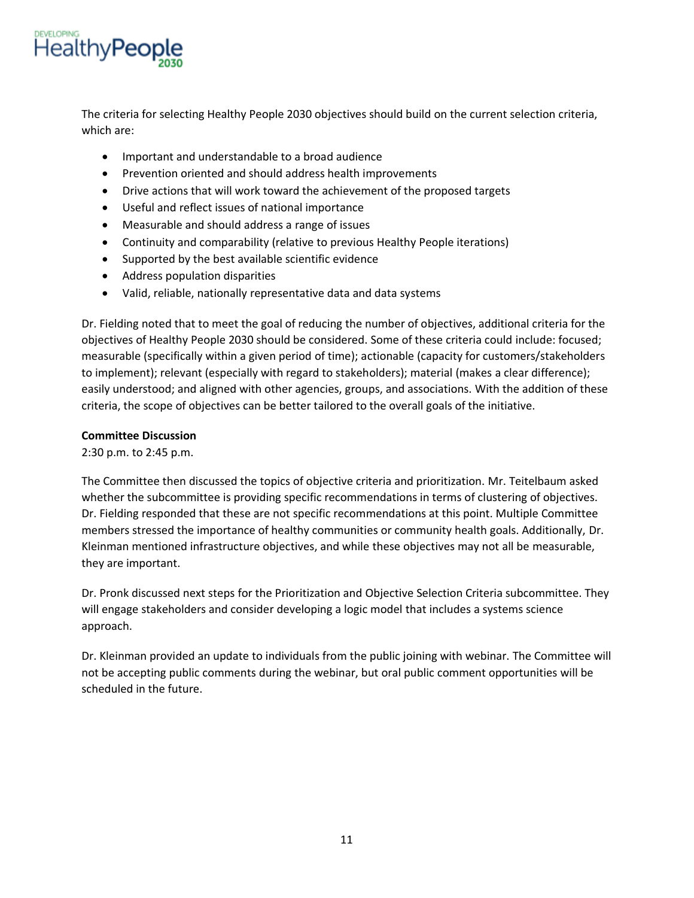

The criteria for selecting Healthy People 2030 objectives should build on the current selection criteria, which are:

- Important and understandable to a broad audience
- Prevention oriented and should address health improvements
- Drive actions that will work toward the achievement of the proposed targets
- Useful and reflect issues of national importance
- Measurable and should address a range of issues
- Continuity and comparability (relative to previous Healthy People iterations)
- Supported by the best available scientific evidence
- Address population disparities
- Valid, reliable, nationally representative data and data systems

Dr. Fielding noted that to meet the goal of reducing the number of objectives, additional criteria for the objectives of Healthy People 2030 should be considered. Some of these criteria could include: focused; measurable (specifically within a given period of time); actionable (capacity for customers/stakeholders to implement); relevant (especially with regard to stakeholders); material (makes a clear difference); easily understood; and aligned with other agencies, groups, and associations. With the addition of these criteria, the scope of objectives can be better tailored to the overall goals of the initiative.

#### **Committee Discussion**

2:30 p.m. to 2:45 p.m.

The Committee then discussed the topics of objective criteria and prioritization. Mr. Teitelbaum asked whether the subcommittee is providing specific recommendations in terms of clustering of objectives. Dr. Fielding responded that these are not specific recommendations at this point. Multiple Committee members stressed the importance of healthy communities or community health goals. Additionally, Dr. Kleinman mentioned infrastructure objectives, and while these objectives may not all be measurable, they are important.

Dr. Pronk discussed next steps for the Prioritization and Objective Selection Criteria subcommittee. They will engage stakeholders and consider developing a logic model that includes a systems science approach.

Dr. Kleinman provided an update to individuals from the public joining with webinar. The Committee will not be accepting public comments during the webinar, but oral public comment opportunities will be scheduled in the future.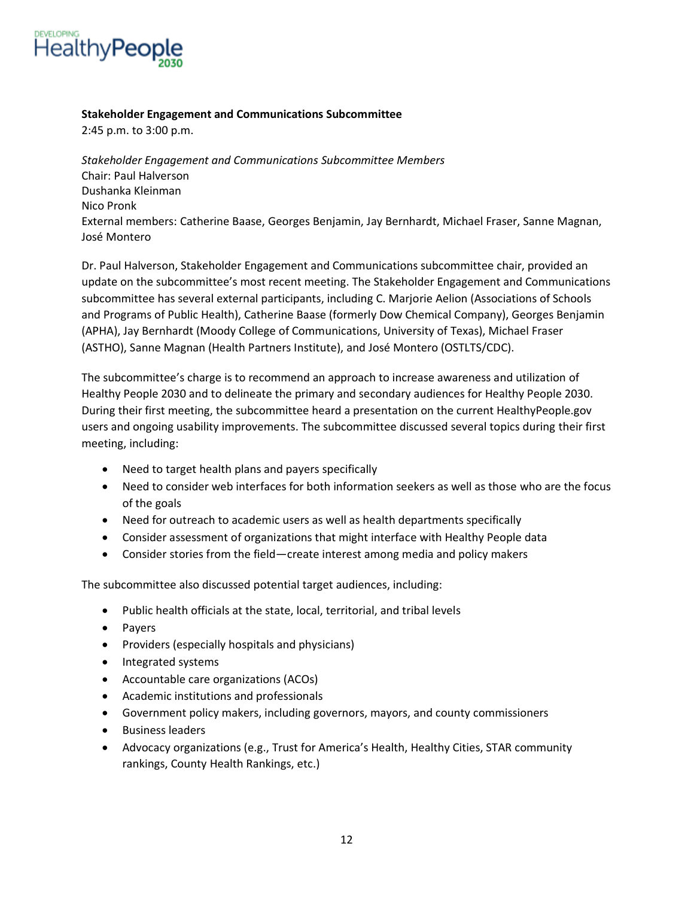

#### **Stakeholder Engagement and Communications Subcommittee**

2:45 p.m. to 3:00 p.m.

*Stakeholder Engagement and Communications Subcommittee Members* Chair: Paul Halverson Dushanka Kleinman Nico Pronk External members: Catherine Baase, Georges Benjamin, Jay Bernhardt, Michael Fraser, Sanne Magnan, José Montero

Dr. Paul Halverson, Stakeholder Engagement and Communications subcommittee chair, provided an update on the subcommittee's most recent meeting. The Stakeholder Engagement and Communications subcommittee has several external participants, including C. Marjorie Aelion (Associations of Schools and Programs of Public Health), Catherine Baase (formerly Dow Chemical Company), Georges Benjamin (APHA), Jay Bernhardt (Moody College of Communications, University of Texas), Michael Fraser (ASTHO), Sanne Magnan (Health Partners Institute), and José Montero (OSTLTS/CDC).

The subcommittee's charge is to recommend an approach to increase awareness and utilization of Healthy People 2030 and to delineate the primary and secondary audiences for Healthy People 2030. During their first meeting, the subcommittee heard a presentation on the current HealthyPeople.gov users and ongoing usability improvements. The subcommittee discussed several topics during their first meeting, including:

- Need to target health plans and payers specifically
- Need to consider web interfaces for both information seekers as well as those who are the focus of the goals
- Need for outreach to academic users as well as health departments specifically
- Consider assessment of organizations that might interface with Healthy People data
- Consider stories from the field—create interest among media and policy makers

The subcommittee also discussed potential target audiences, including:

- Public health officials at the state, local, territorial, and tribal levels
- Payers
- Providers (especially hospitals and physicians)
- Integrated systems
- Accountable care organizations (ACOs)
- Academic institutions and professionals
- Government policy makers, including governors, mayors, and county commissioners
- Business leaders
- Advocacy organizations (e.g., Trust for America's Health, Healthy Cities, STAR community rankings, County Health Rankings, etc.)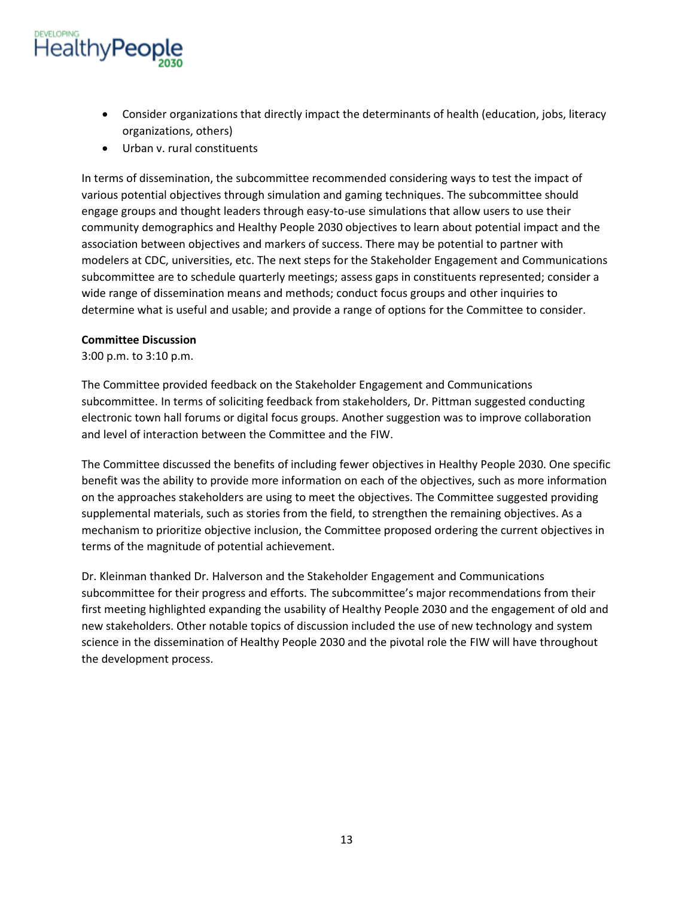

- Consider organizations that directly impact the determinants of health (education, jobs, literacy organizations, others)
- Urban v. rural constituents

In terms of dissemination, the subcommittee recommended considering ways to test the impact of various potential objectives through simulation and gaming techniques. The subcommittee should engage groups and thought leaders through easy-to-use simulations that allow users to use their community demographics and Healthy People 2030 objectives to learn about potential impact and the association between objectives and markers of success. There may be potential to partner with modelers at CDC, universities, etc. The next steps for the Stakeholder Engagement and Communications subcommittee are to schedule quarterly meetings; assess gaps in constituents represented; consider a wide range of dissemination means and methods; conduct focus groups and other inquiries to determine what is useful and usable; and provide a range of options for the Committee to consider.

#### **Committee Discussion**

3:00 p.m. to 3:10 p.m.

The Committee provided feedback on the Stakeholder Engagement and Communications subcommittee. In terms of soliciting feedback from stakeholders, Dr. Pittman suggested conducting electronic town hall forums or digital focus groups. Another suggestion was to improve collaboration and level of interaction between the Committee and the FIW.

The Committee discussed the benefits of including fewer objectives in Healthy People 2030. One specific benefit was the ability to provide more information on each of the objectives, such as more information on the approaches stakeholders are using to meet the objectives. The Committee suggested providing supplemental materials, such as stories from the field, to strengthen the remaining objectives. As a mechanism to prioritize objective inclusion, the Committee proposed ordering the current objectives in terms of the magnitude of potential achievement.

Dr. Kleinman thanked Dr. Halverson and the Stakeholder Engagement and Communications subcommittee for their progress and efforts. The subcommittee's major recommendations from their first meeting highlighted expanding the usability of Healthy People 2030 and the engagement of old and new stakeholders. Other notable topics of discussion included the use of new technology and system science in the dissemination of Healthy People 2030 and the pivotal role the FIW will have throughout the development process.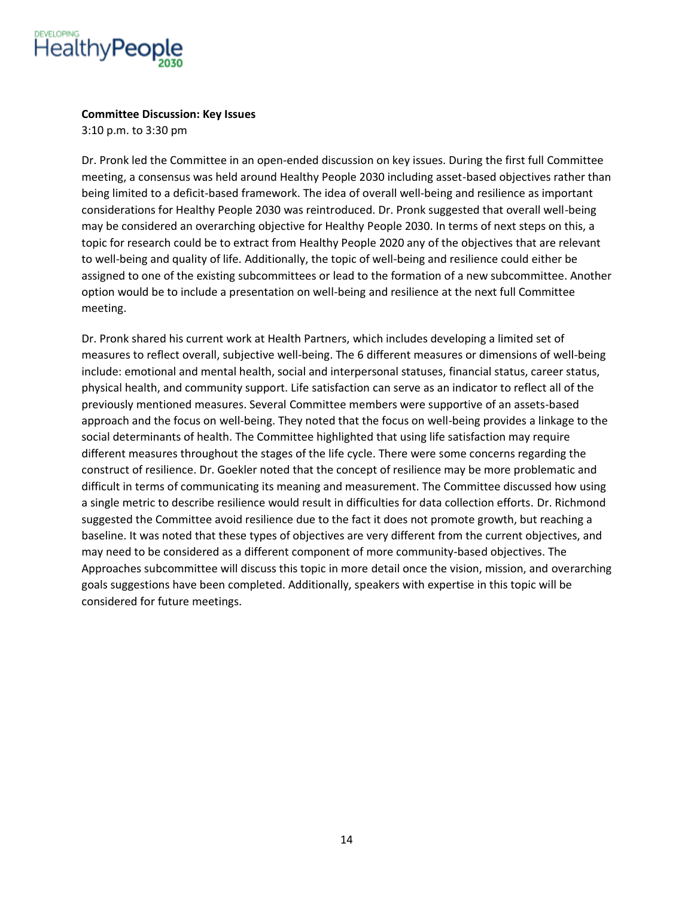

### **Committee Discussion: Key Issues**

3:10 p.m. to 3:30 pm

Dr. Pronk led the Committee in an open-ended discussion on key issues. During the first full Committee meeting, a consensus was held around Healthy People 2030 including asset-based objectives rather than being limited to a deficit-based framework. The idea of overall well-being and resilience as important considerations for Healthy People 2030 was reintroduced. Dr. Pronk suggested that overall well-being may be considered an overarching objective for Healthy People 2030. In terms of next steps on this, a topic for research could be to extract from Healthy People 2020 any of the objectives that are relevant to well-being and quality of life. Additionally, the topic of well-being and resilience could either be assigned to one of the existing subcommittees or lead to the formation of a new subcommittee. Another option would be to include a presentation on well-being and resilience at the next full Committee meeting.

Dr. Pronk shared his current work at Health Partners, which includes developing a limited set of measures to reflect overall, subjective well-being. The 6 different measures or dimensions of well-being include: emotional and mental health, social and interpersonal statuses, financial status, career status, physical health, and community support. Life satisfaction can serve as an indicator to reflect all of the previously mentioned measures. Several Committee members were supportive of an assets-based approach and the focus on well-being. They noted that the focus on well-being provides a linkage to the social determinants of health. The Committee highlighted that using life satisfaction may require different measures throughout the stages of the life cycle. There were some concerns regarding the construct of resilience. Dr. Goekler noted that the concept of resilience may be more problematic and difficult in terms of communicating its meaning and measurement. The Committee discussed how using a single metric to describe resilience would result in difficulties for data collection efforts. Dr. Richmond suggested the Committee avoid resilience due to the fact it does not promote growth, but reaching a baseline. It was noted that these types of objectives are very different from the current objectives, and may need to be considered as a different component of more community-based objectives. The Approaches subcommittee will discuss this topic in more detail once the vision, mission, and overarching goals suggestions have been completed. Additionally, speakers with expertise in this topic will be considered for future meetings.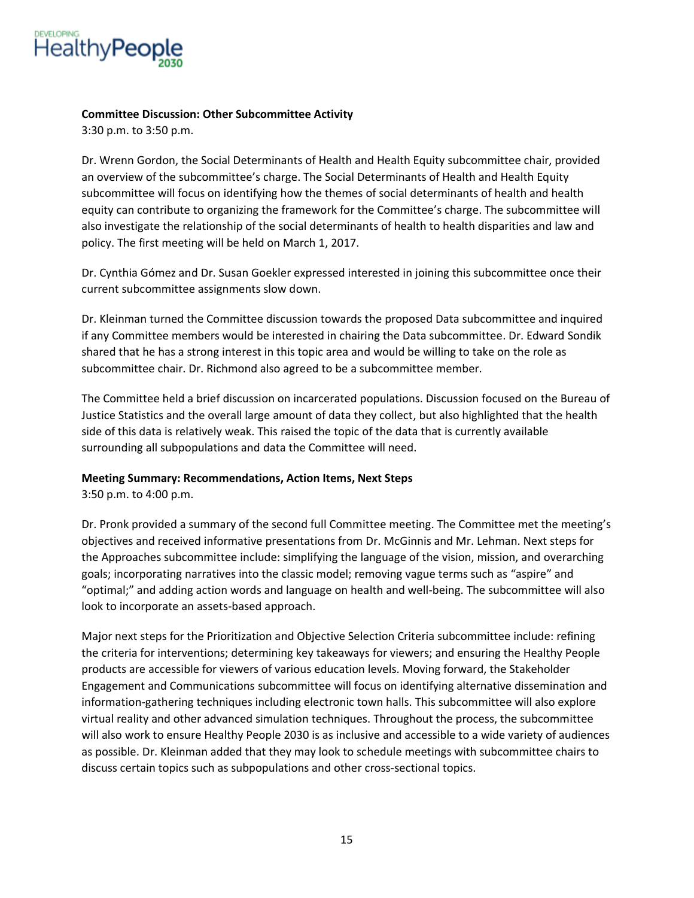

### **Committee Discussion: Other Subcommittee Activity**

3:30 p.m. to 3:50 p.m.

Dr. Wrenn Gordon, the Social Determinants of Health and Health Equity subcommittee chair, provided an overview of the subcommittee's charge. The Social Determinants of Health and Health Equity subcommittee will focus on identifying how the themes of social determinants of health and health equity can contribute to organizing the framework for the Committee's charge. The subcommittee will also investigate the relationship of the social determinants of health to health disparities and law and policy. The first meeting will be held on March 1, 2017.

Dr. Cynthia Gómez and Dr. Susan Goekler expressed interested in joining this subcommittee once their current subcommittee assignments slow down.

Dr. Kleinman turned the Committee discussion towards the proposed Data subcommittee and inquired if any Committee members would be interested in chairing the Data subcommittee. Dr. Edward Sondik shared that he has a strong interest in this topic area and would be willing to take on the role as subcommittee chair. Dr. Richmond also agreed to be a subcommittee member.

The Committee held a brief discussion on incarcerated populations. Discussion focused on the Bureau of Justice Statistics and the overall large amount of data they collect, but also highlighted that the health side of this data is relatively weak. This raised the topic of the data that is currently available surrounding all subpopulations and data the Committee will need.

# **Meeting Summary: Recommendations, Action Items, Next Steps**

3:50 p.m. to 4:00 p.m.

Dr. Pronk provided a summary of the second full Committee meeting. The Committee met the meeting's objectives and received informative presentations from Dr. McGinnis and Mr. Lehman. Next steps for the Approaches subcommittee include: simplifying the language of the vision, mission, and overarching goals; incorporating narratives into the classic model; removing vague terms such as "aspire" and "optimal;" and adding action words and language on health and well-being. The subcommittee will also look to incorporate an assets-based approach.

Major next steps for the Prioritization and Objective Selection Criteria subcommittee include: refining the criteria for interventions; determining key takeaways for viewers; and ensuring the Healthy People products are accessible for viewers of various education levels. Moving forward, the Stakeholder Engagement and Communications subcommittee will focus on identifying alternative dissemination and information-gathering techniques including electronic town halls. This subcommittee will also explore virtual reality and other advanced simulation techniques. Throughout the process, the subcommittee will also work to ensure Healthy People 2030 is as inclusive and accessible to a wide variety of audiences as possible. Dr. Kleinman added that they may look to schedule meetings with subcommittee chairs to discuss certain topics such as subpopulations and other cross-sectional topics.